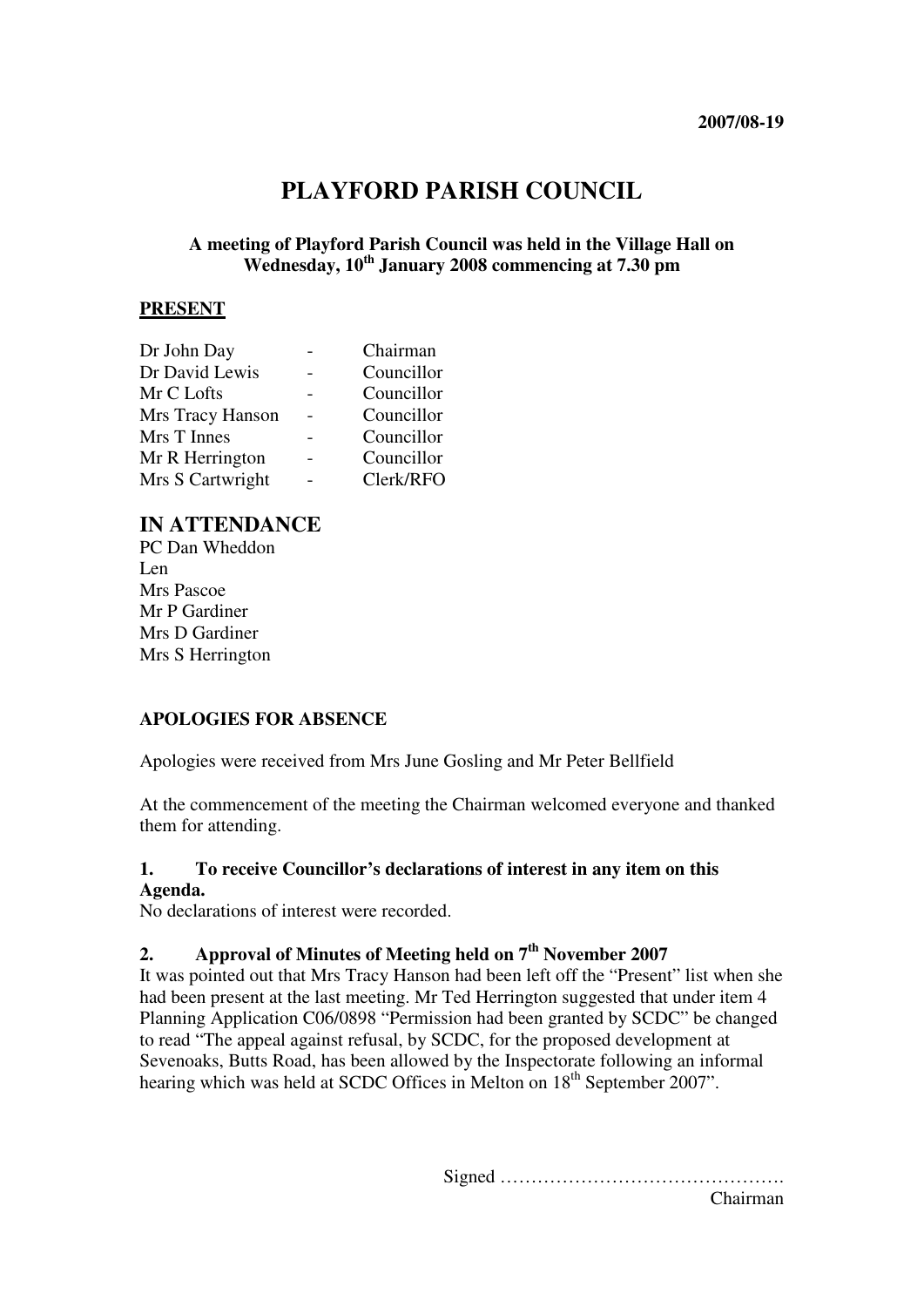# **PLAYFORD PARISH COUNCIL**

# **A meeting of Playford Parish Council was held in the Village Hall on Wednesday, 10th January 2008 commencing at 7.30 pm**

### **PRESENT**

| Dr John Day      | Chairman   |
|------------------|------------|
| Dr David Lewis   | Councillor |
| Mr C Lofts       | Councillor |
| Mrs Tracy Hanson | Councillor |
| Mrs T Innes      | Councillor |
| Mr R Herrington  | Councillor |
| Mrs S Cartwright | Clerk/RFO  |

# **IN ATTENDANCE**

PC Dan Wheddon Len Mrs Pascoe Mr P Gardiner Mrs D Gardiner Mrs S Herrington

# **APOLOGIES FOR ABSENCE**

Apologies were received from Mrs June Gosling and Mr Peter Bellfield

At the commencement of the meeting the Chairman welcomed everyone and thanked them for attending.

# **1. To receive Councillor's declarations of interest in any item on this**

#### **Agenda.**

No declarations of interest were recorded.

### **2. Approval of Minutes of Meeting held on 7th November 2007**

It was pointed out that Mrs Tracy Hanson had been left off the "Present" list when she had been present at the last meeting. Mr Ted Herrington suggested that under item 4 Planning Application C06/0898 "Permission had been granted by SCDC" be changed to read "The appeal against refusal, by SCDC, for the proposed development at Sevenoaks, Butts Road, has been allowed by the Inspectorate following an informal hearing which was held at SCDC Offices in Melton on 18<sup>th</sup> September 2007".

> Signed ………………………………………. Chairman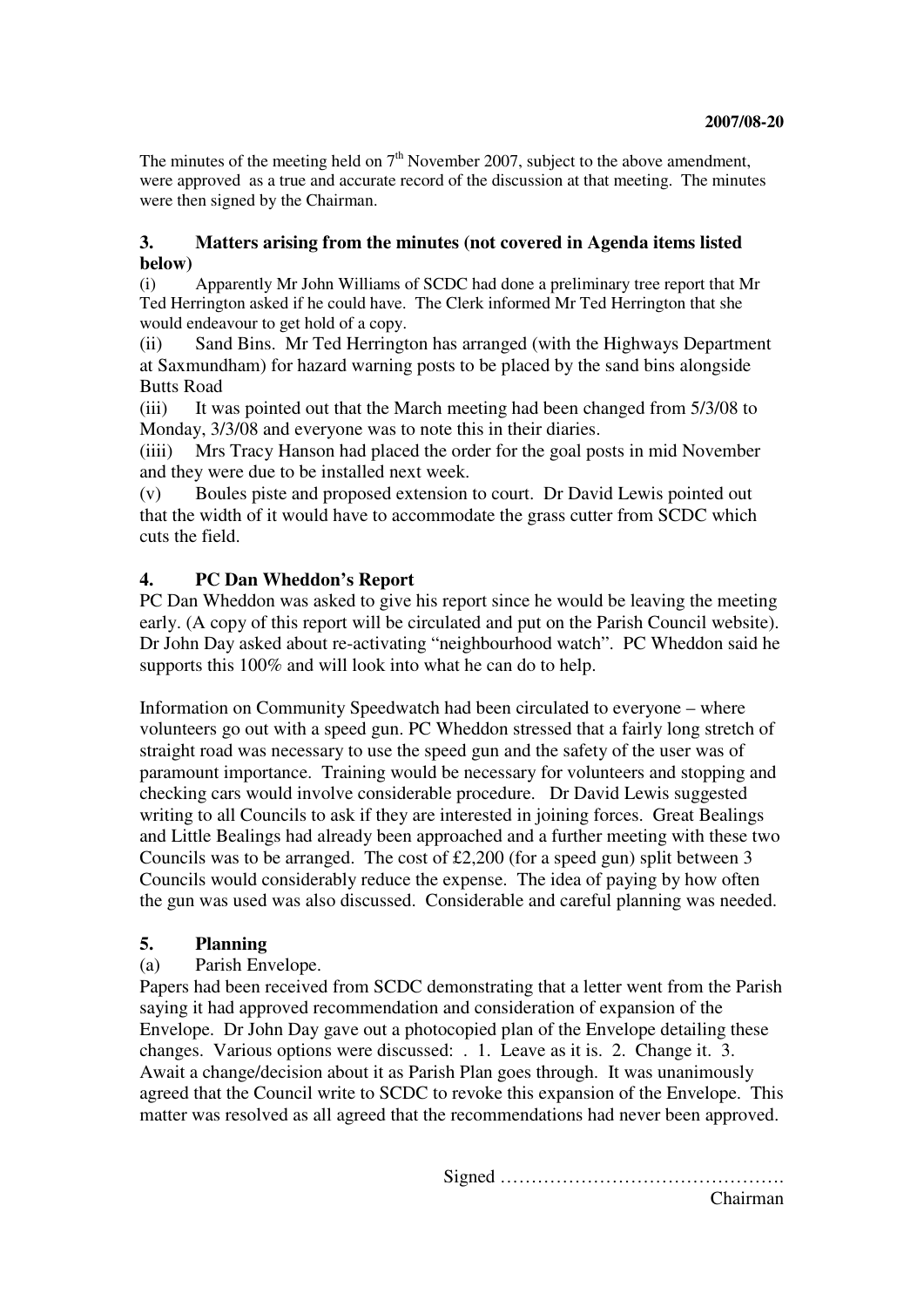The minutes of the meeting held on  $7<sup>th</sup>$  November 2007, subject to the above amendment, were approved as a true and accurate record of the discussion at that meeting. The minutes were then signed by the Chairman.

### **3. Matters arising from the minutes (not covered in Agenda items listed below)**

(i) Apparently Mr John Williams of SCDC had done a preliminary tree report that Mr Ted Herrington asked if he could have. The Clerk informed Mr Ted Herrington that she would endeavour to get hold of a copy.

(ii) Sand Bins. Mr Ted Herrington has arranged (with the Highways Department at Saxmundham) for hazard warning posts to be placed by the sand bins alongside Butts Road

(iii) It was pointed out that the March meeting had been changed from 5/3/08 to Monday, 3/3/08 and everyone was to note this in their diaries.

(iiii) Mrs Tracy Hanson had placed the order for the goal posts in mid November and they were due to be installed next week.

(v) Boules piste and proposed extension to court. Dr David Lewis pointed out that the width of it would have to accommodate the grass cutter from SCDC which cuts the field.

# **4. PC Dan Wheddon's Report**

PC Dan Wheddon was asked to give his report since he would be leaving the meeting early. (A copy of this report will be circulated and put on the Parish Council website). Dr John Day asked about re-activating "neighbourhood watch". PC Wheddon said he supports this 100% and will look into what he can do to help.

Information on Community Speedwatch had been circulated to everyone – where volunteers go out with a speed gun. PC Wheddon stressed that a fairly long stretch of straight road was necessary to use the speed gun and the safety of the user was of paramount importance. Training would be necessary for volunteers and stopping and checking cars would involve considerable procedure. Dr David Lewis suggested writing to all Councils to ask if they are interested in joining forces. Great Bealings and Little Bealings had already been approached and a further meeting with these two Councils was to be arranged. The cost of  $\text{\pounds}2,200$  (for a speed gun) split between 3 Councils would considerably reduce the expense. The idea of paying by how often the gun was used was also discussed. Considerable and careful planning was needed.

#### **5. Planning**

# (a) Parish Envelope.

Papers had been received from SCDC demonstrating that a letter went from the Parish saying it had approved recommendation and consideration of expansion of the Envelope. Dr John Day gave out a photocopied plan of the Envelope detailing these changes. Various options were discussed: . 1. Leave as it is. 2. Change it. 3. Await a change/decision about it as Parish Plan goes through. It was unanimously agreed that the Council write to SCDC to revoke this expansion of the Envelope. This matter was resolved as all agreed that the recommendations had never been approved.

Signed ……………………………………….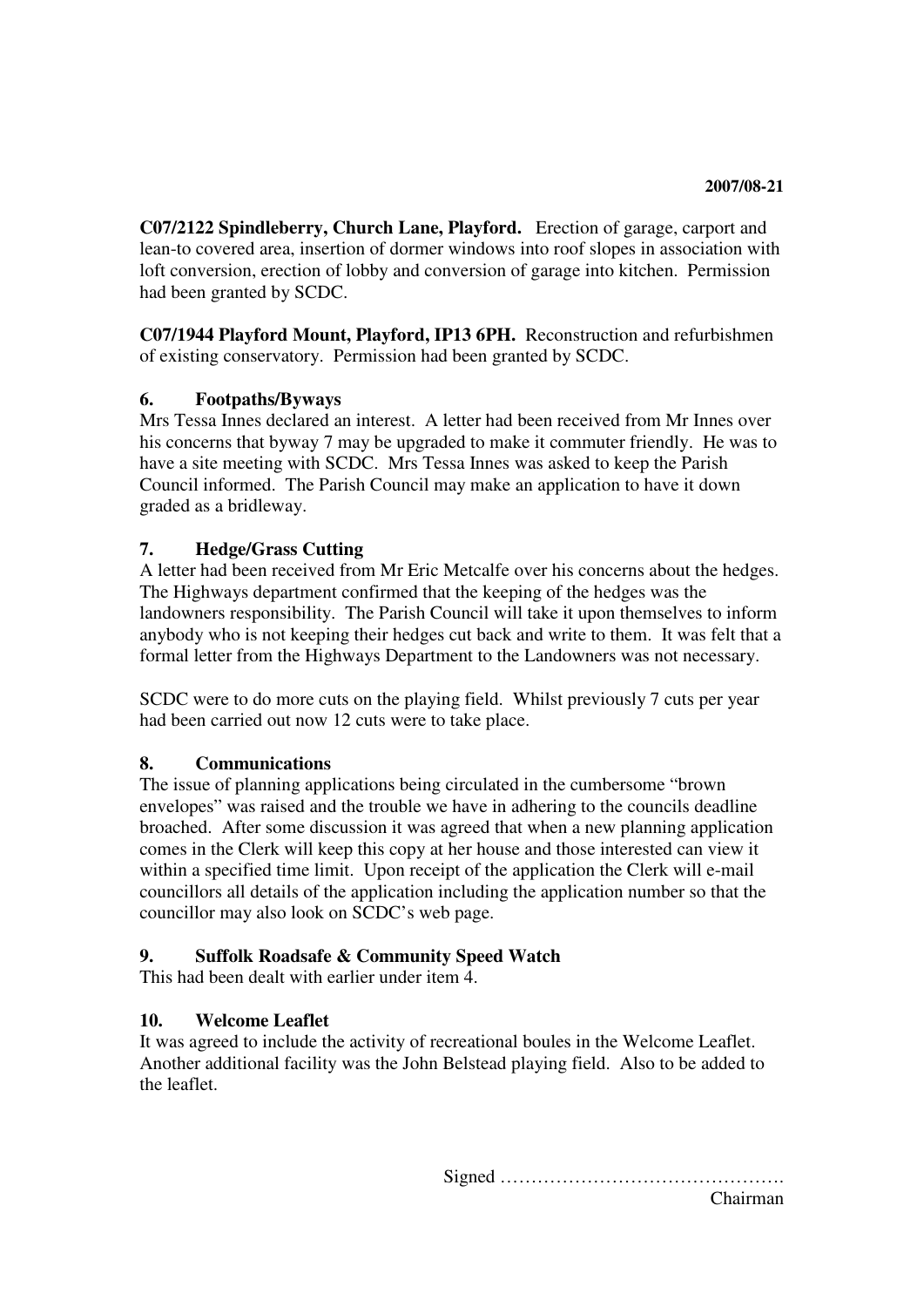**C07/2122 Spindleberry, Church Lane, Playford.** Erection of garage, carport and lean-to covered area, insertion of dormer windows into roof slopes in association with loft conversion, erection of lobby and conversion of garage into kitchen. Permission had been granted by SCDC.

**C07/1944 Playford Mount, Playford, IP13 6PH.** Reconstruction and refurbishmen of existing conservatory. Permission had been granted by SCDC.

# **6. Footpaths/Byways**

Mrs Tessa Innes declared an interest. A letter had been received from Mr Innes over his concerns that byway 7 may be upgraded to make it commuter friendly. He was to have a site meeting with SCDC. Mrs Tessa Innes was asked to keep the Parish Council informed. The Parish Council may make an application to have it down graded as a bridleway.

# **7. Hedge/Grass Cutting**

A letter had been received from Mr Eric Metcalfe over his concerns about the hedges. The Highways department confirmed that the keeping of the hedges was the landowners responsibility. The Parish Council will take it upon themselves to inform anybody who is not keeping their hedges cut back and write to them. It was felt that a formal letter from the Highways Department to the Landowners was not necessary.

SCDC were to do more cuts on the playing field. Whilst previously 7 cuts per year had been carried out now 12 cuts were to take place.

# **8. Communications**

The issue of planning applications being circulated in the cumbersome "brown envelopes" was raised and the trouble we have in adhering to the councils deadline broached. After some discussion it was agreed that when a new planning application comes in the Clerk will keep this copy at her house and those interested can view it within a specified time limit. Upon receipt of the application the Clerk will e-mail councillors all details of the application including the application number so that the councillor may also look on SCDC's web page.

# **9. Suffolk Roadsafe & Community Speed Watch**

This had been dealt with earlier under item 4.

# **10. Welcome Leaflet**

It was agreed to include the activity of recreational boules in the Welcome Leaflet. Another additional facility was the John Belstead playing field. Also to be added to the leaflet.

> Signed ………………………………………. Chairman